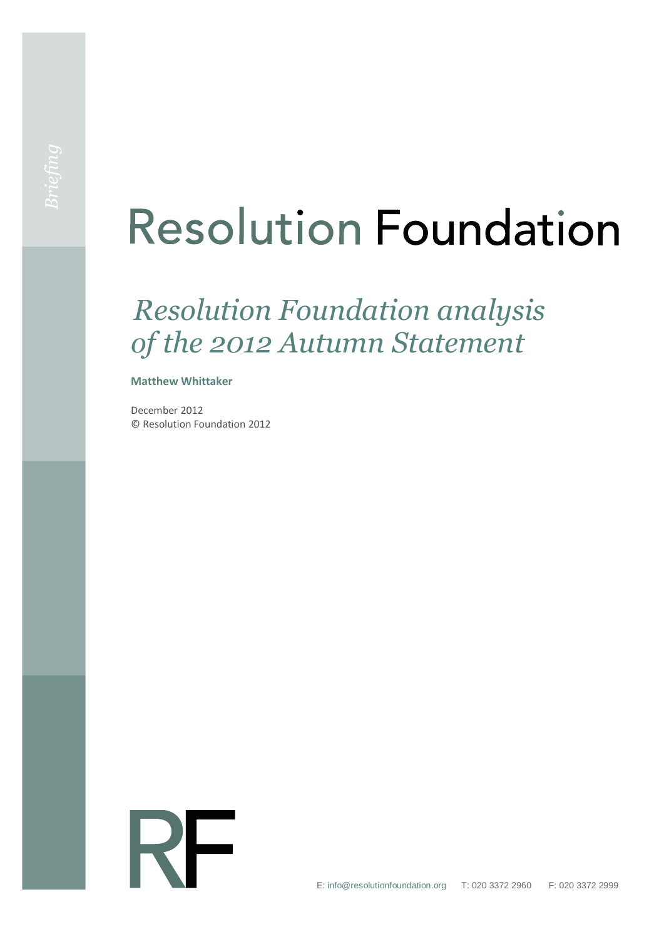# **Resolution Foundation**

# *Resolution Foundation analysis of the 2012 Autumn Statement*

#### **Matthew Whittaker**

December 2012 © Resolution Foundation 2012

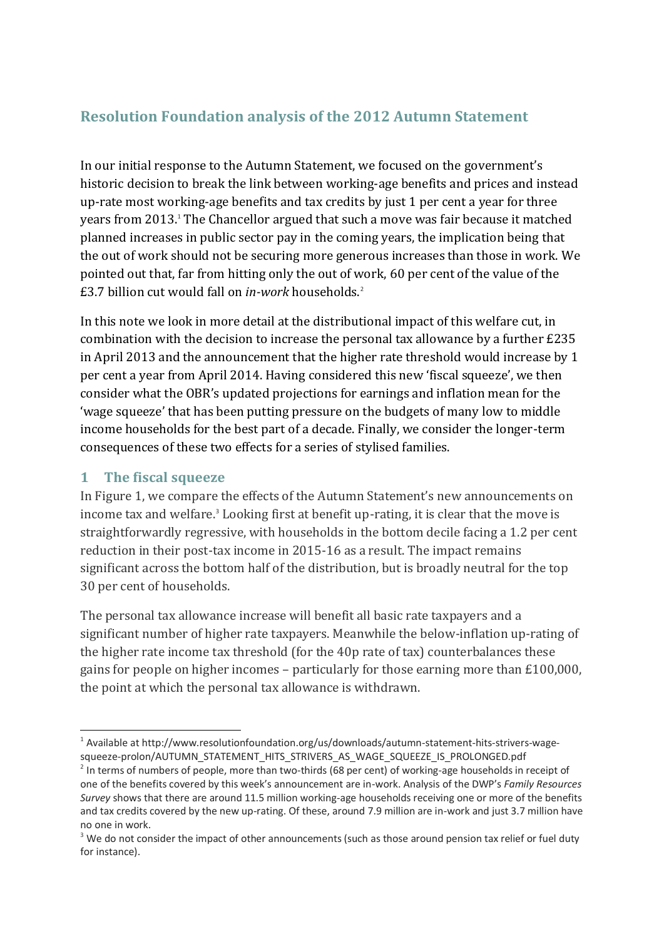## **Resolution Foundation analysis of the 2012 Autumn Statement**

In our initial response to the Autumn Statement, we focused on the government's historic decision to break the link between working-age benefits and prices and instead up-rate most working-age benefits and tax credits by just 1 per cent a year for three years from 2013. <sup>1</sup> The Chancellor argued that such a move was fair because it matched planned increases in public sector pay in the coming years, the implication being that the out of work should not be securing more generous increases than those in work. We pointed out that, far from hitting only the out of work, 60 per cent of the value of the £3.7 billion cut would fall on *in-work* households.<sup>2</sup>

In this note we look in more detail at the distributional impact of this welfare cut, in combination with the decision to increase the personal tax allowance by a further £235 in April 2013 and the announcement that the higher rate threshold would increase by 1 per cent a year from April 2014. Having considered this new 'fiscal squeeze', we then consider what the OBR's updated projections for earnings and inflation mean for the 'wage squeeze' that has been putting pressure on the budgets of many low to middle income households for the best part of a decade. Finally, we consider the longer-term consequences of these two effects for a series of stylised families.

### **1 The fiscal squeeze**

In Figure 1, we compare the effects of the Autumn Statement's new announcements on income tax and welfare.<sup>3</sup> Looking first at benefit up-rating, it is clear that the move is straightforwardly regressive, with households in the bottom decile facing a 1.2 per cent reduction in their post-tax income in 2015-16 as a result. The impact remains significant across the bottom half of the distribution, but is broadly neutral for the top 30 per cent of households.

The personal tax allowance increase will benefit all basic rate taxpayers and a significant number of higher rate taxpayers. Meanwhile the below-inflation up-rating of the higher rate income tax threshold (for the 40p rate of tax) counterbalances these gains for people on higher incomes – particularly for those earning more than £100,000, the point at which the personal tax allowance is withdrawn.

<sup>&</sup>lt;u>.</u> <sup>1</sup> Available a[t http://www.resolutionfoundation.org/us/downloads/autumn-statement-hits-strivers-wage](http://www.resolutionfoundation.org/us/downloads/autumn-statement-hits-strivers-wage-squeeze-prolon/AUTUMN_STATEMENT_HITS_STRIVERS_AS_WAGE_SQUEEZE_IS_PROLONGED.pdf)[squeeze-prolon/AUTUMN\\_STATEMENT\\_HITS\\_STRIVERS\\_AS\\_WAGE\\_SQUEEZE\\_IS\\_PROLONGED.pdf](http://www.resolutionfoundation.org/us/downloads/autumn-statement-hits-strivers-wage-squeeze-prolon/AUTUMN_STATEMENT_HITS_STRIVERS_AS_WAGE_SQUEEZE_IS_PROLONGED.pdf)

 $2$  In terms of numbers of people, more than two-thirds (68 per cent) of working-age households in receipt of one of the benefits covered by this week's announcement are in-work. Analysis of the DWP's *Family Resources Survey* shows that there are around 11.5 million working-age households receiving one or more of the benefits and tax credits covered by the new up-rating. Of these, around 7.9 million are in-work and just 3.7 million have no one in work.

<sup>&</sup>lt;sup>3</sup> We do not consider the impact of other announcements (such as those around pension tax relief or fuel duty for instance).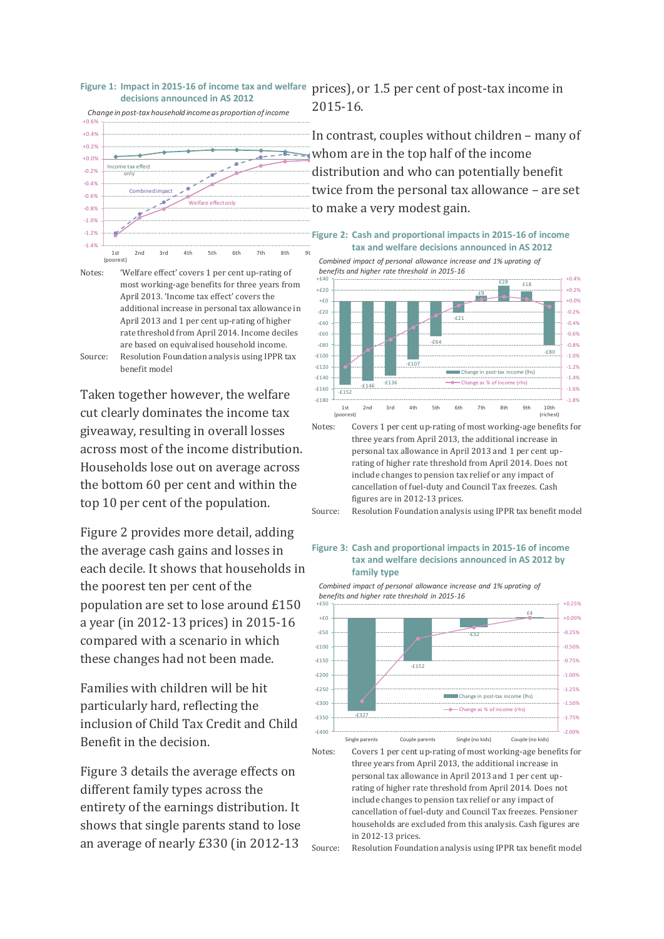

Notes: 'Welfare effect' covers 1 per cent up-rating of most working-age benefits for three years from April 2013. 'Income tax effect' covers the additional increase in personal tax allowance in April 2013 and 1 per cent up-rating of higher rate threshold from April 2014. Income deciles are based on equivalised household income. Source: Resolution Foundation analysis using IPPR tax benefit model

Taken together however, the welfare cut clearly dominates the income tax giveaway, resulting in overall losses across most of the income distribution. Households lose out on average across the bottom 60 per cent and within the top 10 per cent of the population.

Figure 2 provides more detail, adding the average cash gains and losses in each decile. It shows that households in the poorest ten per cent of the population are set to lose around £150 a year (in 2012-13 prices) in 2015-16 compared with a scenario in which these changes had not been made.

Families with children will be hit particularly hard, reflecting the inclusion of Child Tax Credit and Child Benefit in the decision.

Figure 3 details the average effects on different family types across the entirety of the earnings distribution. It shows that single parents stand to lose an average of nearly £330 (in 2012-13

**Figure 1: Impact in 2015-16 of income tax and welfare**  prices), or 1.5 per cent of post-tax income in 2015-16.

> In contrast, couples without children – many of whom are in the top half of the income distribution and who can potentially benefit twice from the personal tax allowance – are set to make a very modest gain.

**Figure 2: Cash and proportional impacts in 2015-16 of income tax and welfare decisions announced in AS 2012**



include changes to pension tax relief or any impact of cancellation of fuel-duty and Council Tax freezes. Cash figures are in 2012-13 prices.

Source: Resolution Foundation analysis using IPPR tax benefit model

#### **Figure 3: Cash and proportional impacts in 2015-16 of income tax and welfare decisions announced in AS 2012 by family type**

*Combined impact of personal allowance increase and 1% uprating of benefits and higher rate threshold in 2015-16*



Notes: Covers 1 per cent up-rating of most working-age benefits for three years from April 2013, the additional increase in personal tax allowance in April 2013 and 1 per cent uprating of higher rate threshold from April 2014. Does not include changes to pension tax relief or any impact of cancellation of fuel-duty and Council Tax freezes. Pensioner households are excluded from this analysis. Cash figures are in 2012-13 prices.

Source: Resolution Foundation analysis using IPPR tax benefit model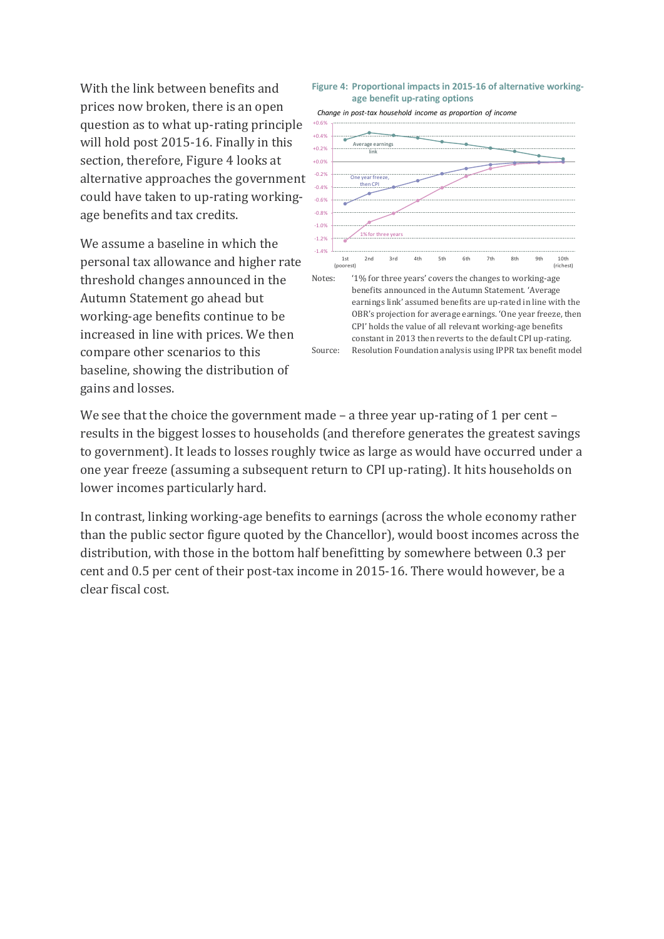With the link between benefits and prices now broken, there is an open question as to what up-rating principle will hold post 2015-16. Finally in this section, therefore, Figure 4 looks at alternative approaches the government could have taken to up-rating workingage benefits and tax credits.

We assume a baseline in which the personal tax allowance and higher rate threshold changes announced in the Autumn Statement go ahead but working-age benefits continue to be increased in line with prices. We then compare other scenarios to this baseline, showing the distribution of gains and losses.

#### **Figure 4: Proportional impacts in 2015-16 of alternative workingage benefit up-rating options**



earnings link' assumed benefits are up-rated in line with the OBR's projection for average earnings. 'One year freeze, then CPI' holds the value of all relevant working-age benefits constant in 2013 then reverts to the default CPI up-rating. Source: Resolution Foundation analysis using IPPR tax benefit model

We see that the choice the government made – a three year up-rating of 1 per cent – results in the biggest losses to households (and therefore generates the greatest savings to government). It leads to losses roughly twice as large as would have occurred under a one year freeze (assuming a subsequent return to CPI up-rating). It hits households on lower incomes particularly hard.

In contrast, linking working-age benefits to earnings (across the whole economy rather than the public sector figure quoted by the Chancellor), would boost incomes across the distribution, with those in the bottom half benefitting by somewhere between 0.3 per cent and 0.5 per cent of their post-tax income in 2015-16. There would however, be a clear fiscal cost.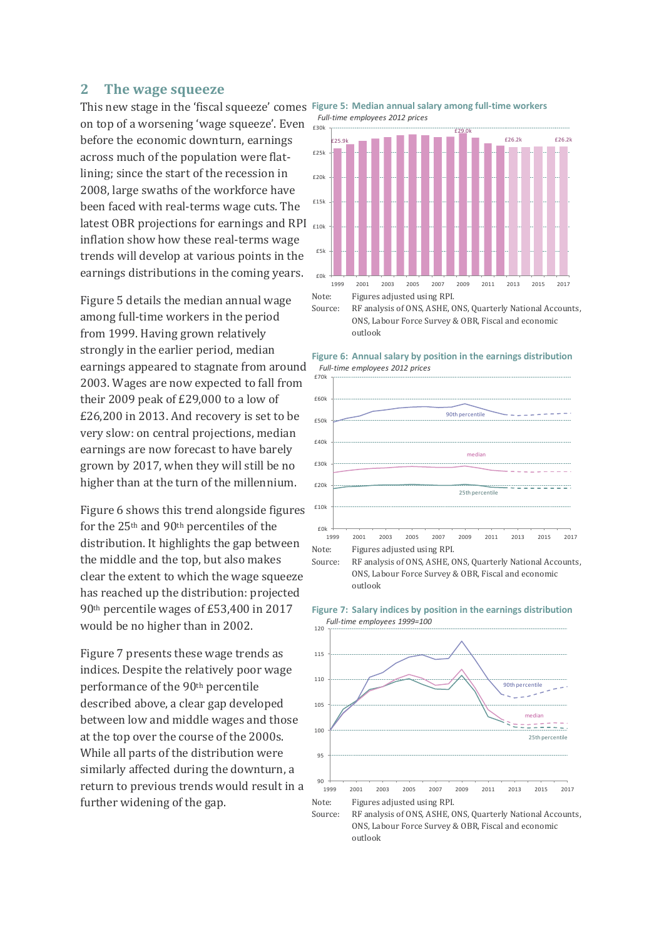#### **2 The wage squeeze**

on top of a worsening 'wage squeeze'. Even before the economic downturn, earnings across much of the population were flatlining; since the start of the recession in 2008, large swaths of the workforce have been faced with real-terms wage cuts. The latest OBR projections for earnings and RPI  $_{\text{f10k}}$ inflation show how these real-terms wage trends will develop at various points in the earnings distributions in the coming years.

Figure 5 details the median annual wage among full-time workers in the period from 1999. Having grown relatively strongly in the earlier period, median earnings appeared to stagnate from around 2003. Wages are now expected to fall from their 2009 peak of £29,000 to a low of £26,200 in 2013. And recovery is set to be very slow: on central projections, median earnings are now forecast to have barely grown by 2017, when they will still be no higher than at the turn of the millennium.

Figure 6 shows this trend alongside figures for the 25th and 90th percentiles of the distribution. It highlights the gap between the middle and the top, but also makes clear the extent to which the wage squeeze has reached up the distribution: projected 90th percentile wages of £53,400 in 2017 would be no higher than in 2002.

Figure 7 presents these wage trends as indices. Despite the relatively poor wage performance of the 90th percentile described above, a clear gap developed between low and middle wages and those at the top over the course of the 2000s. While all parts of the distribution were similarly affected during the downturn, a return to previous trends would result in a further widening of the gap.

This new stage in the 'fiscal squeeze' comes **Figure 5: Median annual salary among full-time workers** *Full-time employees 2012 prices*



Source: RF analysis of ONS, ASHE, ONS, Quarterly National Accounts, ONS, Labour Force Survey & OBR, Fiscal and economic outlook





Source: RF analysis of ONS, ASHE, ONS, Quarterly National Accounts, ONS, Labour Force Survey & OBR, Fiscal and economic outlook



**Figure 7: Salary indices by position in the earnings distribution** *Full-time employees 1999=100*

Source: RF analysis of ONS, ASHE, ONS, Quarterly National Accounts, ONS, Labour Force Survey & OBR, Fiscal and economic outlook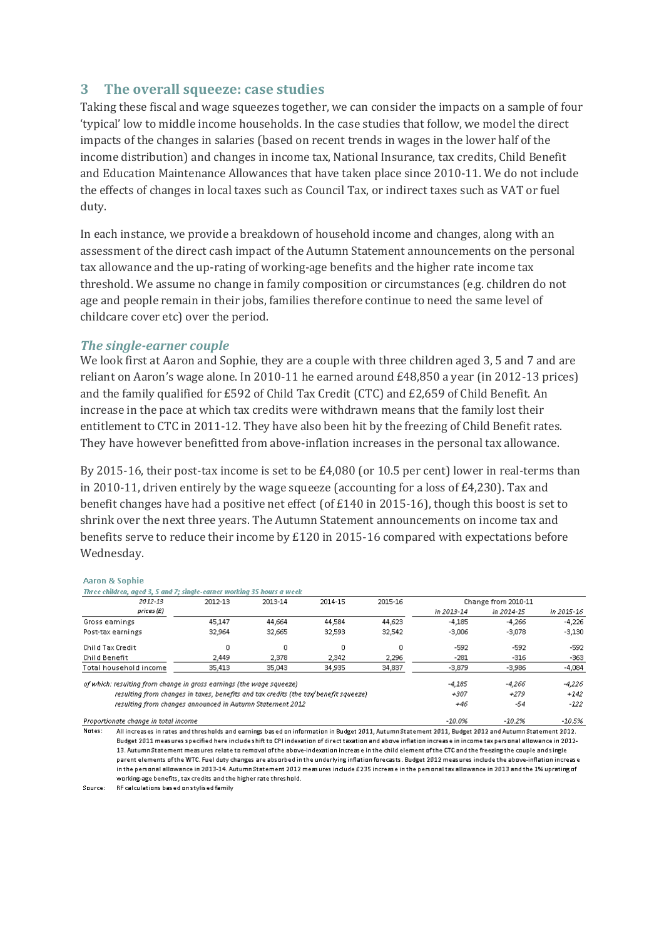#### **3 The overall squeeze: case studies**

Taking these fiscal and wage squeezes together, we can consider the impacts on a sample of four 'typical' low to middle income households. In the case studies that follow, we model the direct impacts of the changes in salaries (based on recent trends in wages in the lower half of the income distribution) and changes in income tax, National Insurance, tax credits, Child Benefit and Education Maintenance Allowances that have taken place since 2010-11. We do not include the effects of changes in local taxes such as Council Tax, or indirect taxes such as VAT or fuel duty.

In each instance, we provide a breakdown of household income and changes, along with an assessment of the direct cash impact of the Autumn Statement announcements on the personal tax allowance and the up-rating of working-age benefits and the higher rate income tax threshold. We assume no change in family composition or circumstances (e.g. children do not age and people remain in their jobs, families therefore continue to need the same level of childcare cover etc) over the period.

#### *The single-earner couple*

We look first at Aaron and Sophie, they are a couple with three children aged 3, 5 and 7 and are reliant on Aaron's wage alone. In 2010-11 he earned around £48,850 a year (in 2012-13 prices) and the family qualified for £592 of Child Tax Credit (CTC) and £2,659 of Child Benefit. An increase in the pace at which tax credits were withdrawn means that the family lost their entitlement to CTC in 2011-12. They have also been hit by the freezing of Child Benefit rates. They have however benefitted from above-inflation increases in the personal tax allowance.

By 2015-16, their post-tax income is set to be £4,080 (or 10.5 per cent) lower in real-terms than in 2010-11, driven entirely by the wage squeeze (accounting for a loss of  $E(4,230)$ ). Tax and benefit changes have had a positive net effect (of £140 in 2015-16), though this boost is set to shrink over the next three years. The Autumn Statement announcements on income tax and benefits serve to reduce their income by £120 in 2015-16 compared with expectations before Wednesday.

#### **Aaron & Sophie**

| Three children, aged 3, 5 and 7; single-earner working 35 hours a week              |         |         |         |         |                     |            |            |
|-------------------------------------------------------------------------------------|---------|---------|---------|---------|---------------------|------------|------------|
| 2012-13                                                                             | 2012-13 | 2013-14 | 2014-15 | 2015-16 | Change from 2010-11 |            |            |
| prices(E)                                                                           |         |         |         |         | in 2013-14          | in 2014-15 | in 2015-16 |
| Gross earnings                                                                      | 45.147  | 44.664  | 44,584  | 44,623  | $-4.185$            | $-4,266$   | $-4,226$   |
| Post-tax earnings                                                                   | 32,964  | 32,665  | 32,593  | 32,542  | $-3,006$            | $-3,078$   | $-3,130$   |
| Child Tax Credit                                                                    | 0       | 0       | 0       | 0       | $-592$              | $-592$     | $-592$     |
| Child Benefit                                                                       | 2.449   | 2,378   | 2.342   | 2,296   | $-281$              | $-316$     | -363       |
| Total household income                                                              | 35,413  | 35,043  | 34,935  | 34,837  | $-3,879$            | $-3,986$   | $-4,084$   |
| of which: resulting from change in gross earnings (the wage squeeze)                |         |         |         |         | $-4.185$            | -4.266     | $-4.226$   |
| resulting from changes in taxes, benefits and tax credits (the tax/benefit squeeze) |         |         |         |         | $+307$              | $+279$     | $+142$     |
| resulting from changes announced in Autumn Statement 2012                           |         |         |         |         | +46                 | -54        | $-122$     |
| Proportionate change in total income                                                |         |         |         |         | $-10.0\%$           | $-10.2%$   | $-10.5%$   |

Notes: All increases in rates and thresholds and earnings based on information in Budget 2011, Autumn Statement 2011, Budget 2012 and Autumn Statement 2012. Budget 2011 measures specified here include shift to CPI indexation of direct taxation and above inflation increase in income tax personal allowance in 2012-13. Autumn Statement measures relate to removal of the above-indexation increase in the child element of the CTC and the freezing the couple and single parent elements of the WTC. Fuel duty changes are absorbed in the underlying inflation forecasts. Budget 2012 measures include the above-inflation increase in the personal allowance in 2013-14. Autumn Statement 2012 measures include £235 increase in the personal tax allowance in 2013 and the 1% uprating of working-age benefits, tax credits and the higher rate threshold.

Source: RF calculations based on stylised family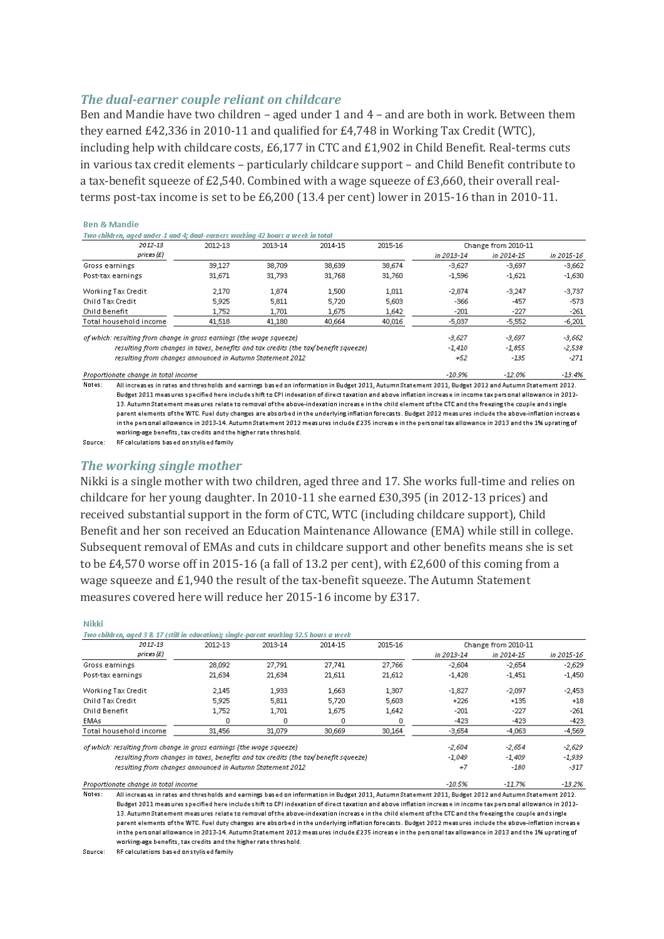#### *The dual-earner couple reliant on childcare*

Ben and Mandie have two children – aged under 1 and 4 – and are both in work. Between them they earned £42,336 in 2010-11 and qualified for £4,748 in Working Tax Credit (WTC), including help with childcare costs, £6,177 in CTC and £1,902 in Child Benefit. Real-terms cuts in various tax credit elements – particularly childcare support – and Child Benefit contribute to a tax-benefit squeeze of £2,540. Combined with a wage squeeze of £3,660, their overall realterms post-tax income is set to be £6,200 (13.4 per cent) lower in 2015-16 than in 2010-11.

| Two children, aged under -1 and 4; dual-earners working 42 hours a week in total    |         |         |         |         |                     |            |            |
|-------------------------------------------------------------------------------------|---------|---------|---------|---------|---------------------|------------|------------|
| 2012-13                                                                             | 2012-13 | 2013-14 | 2014-15 | 2015-16 | Change from 2010-11 |            |            |
| prices(E)                                                                           |         |         |         |         | in 2013-14          | in 2014-15 | in 2015-16 |
| Gross earnings                                                                      | 39.127  | 38,709  | 38,639  | 38,674  | $-3,627$            | $-3,697$   | $-3,662$   |
| Post-tax earnings                                                                   | 31.671  | 31,793  | 31,768  | 31,760  | $-1.596$            | $-1,621$   | $-1,630$   |
| Working Tax Credit                                                                  | 2,170   | 1,874   | 1,500   | 1,011   | $-2,874$            | $-3,247$   | $-3,737$   |
| Child Tax Credit                                                                    | 5.925   | 5,811   | 5.720   | 5,603   | $-366$              | $-457$     | $-573$     |
| Child Benefit                                                                       | 1,752   | 1,701   | 1,675   | 1,642   | -201                | $-227$     | $-261$     |
| Total household income                                                              | 41,518  | 41,180  | 40,664  | 40,016  | $-5,037$            | $-5,552$   | $-6,201$   |
| of which: resulting from change in gross earnings (the wage squeeze)                |         |         |         |         | $-3,627$            | $-3,697$   | $-3,662$   |
| resulting from changes in taxes, benefits and tax credits (the tax/benefit squeeze) |         |         |         |         | $-1.410$            | $-1,855$   | $-2,538$   |
| resulting from changes announced in Autumn Statement 2012                           |         |         |         | +52     | -135                | $-271$     |            |
| Proportionate change in total income                                                |         |         |         |         | $-10.9%$            | $-12.0%$   | $-13.4%$   |

Notes: All increases in rates and thresholds and earnings based on information in Budget 2011, Autumn Statement 2011, Budget 2012 and Autumn Statement 2012. Budget 2011 measures specified here includeshift to CPI indexation of direct taxation and above inflation increase in income tax personal allowance in 2012-13. Autumn Statement measures relate to removal of the above-indexation increase in the child element of the CTC and the freezing the couple and single parent elements of the WTC. Fuel duty changes are absorbed in the underlying inflation forecasts. Budget 2012 measures include the above-inflation increase in the personal allowance in 2013-14. Autumn Statement 2012 measures include £235 increase in the personal tax allowance in 2013 and the 1% uprating of working-age benefits, tax credits and the higher rate threshold.

Source: RF calculations based on stylised family

**Ben & Mandie** 

Nikki

#### *The working single mother*

Nikki is a single mother with two children, aged three and 17. She works full-time and relies on childcare for her young daughter. In 2010-11 she earned £30,395 (in 2012-13 prices) and received substantial support in the form of CTC, WTC (including childcare support), Child Benefit and her son received an Education Maintenance Allowance (EMA) while still in college. Subsequent removal of EMAs and cuts in childcare support and other benefits means she is set to be £4,570 worse off in 2015-16 (a fall of 13.2 per cent), with £2,600 of this coming from a wage squeeze and £1,940 the result of the tax-benefit squeeze. The Autumn Statement measures covered here will reduce her 2015-16 income by £317.

| Two children, aged 3 & 17 (still in education); single-parent working 32.5 hours a week |          |          |          |          |                     |            |            |
|-----------------------------------------------------------------------------------------|----------|----------|----------|----------|---------------------|------------|------------|
| 2012-13                                                                                 | 2012-13  | 2013-14  | 2014-15  | 2015-16  | Change from 2010-11 |            |            |
| prices(E)                                                                               |          |          |          |          | in 2013-14          | in 2014-15 | in 2015-16 |
| Gross earnings                                                                          | 28,092   | 27.791   | 27.741   | 27.766   | $-2,604$            | $-2.654$   | $-2,629$   |
| Post-tax earnings                                                                       | 21.634   | 21,634   | 21,611   | 21,612   | $-1.428$            | $-1,451$   | $-1,450$   |
| Working Tax Credit                                                                      | 2,145    | 1,933    | 1,663    | 1,307    | $-1,827$            | $-2,097$   | $-2,453$   |
| Child Tax Credit                                                                        | 5,925    | 5,811    | 5,720    | 5,603    | $+226$              | $+135$     | $+18$      |
| Child Benefit                                                                           | 1,752    | 1,701    | 1,675    | 1,642    | $-201$              | $-227$     | $-261$     |
| <b>EMAs</b>                                                                             |          | 0        | n        |          | $-423$              | $-423$     | $-423$     |
| Total household income                                                                  | 31,456   | 31,079   | 30,669   | 30,164   | $-3,654$            | $-4,063$   | $-4,569$   |
| of which: resulting from change in gross earnings (the wage squeeze)                    | $-2,604$ | $-2,654$ | $-2,629$ |          |                     |            |            |
| resulting from changes in taxes, benefits and tax credits (the tax/benefit squeeze)     |          |          |          |          | $-1,049$            | $-1,409$   | $-1,939$   |
| resulting from changes announced in Autumn Statement 2012                               |          |          |          | $+7$     | $-180$              | $-317$     |            |
| Proportionate change in total income                                                    |          |          |          | $-10.5%$ | $-11.7%$            | $-13.2%$   |            |

Notes: All increases in rates and thresholds and earnings based on information in Budget 2011, Autumn Statement 2011, Budget 2012 and Autumn Statement 2012. Budget 2011 measures specified here includes hift to CPI indexation of direct taxation and above inflation increase in income tax personal allowance in 2012-13. Autumn Statement measures relate to removal of the above-indexation increase in the child element of the CTC and the freezing the couple and single parent elements of the WTC. Fuel duty changes are absorbed in the underlying inflation forecasts. Budget 2012 measures include the above-inflation increase in the personal allowance in 2013-14. Autumn Statement 2012 measures include £235 increase in the personal tax allowance in 2013 and the 1% uprating of working-age benefits, tax credits and the higher rate threshold.

Source: REcalculations based on stylised family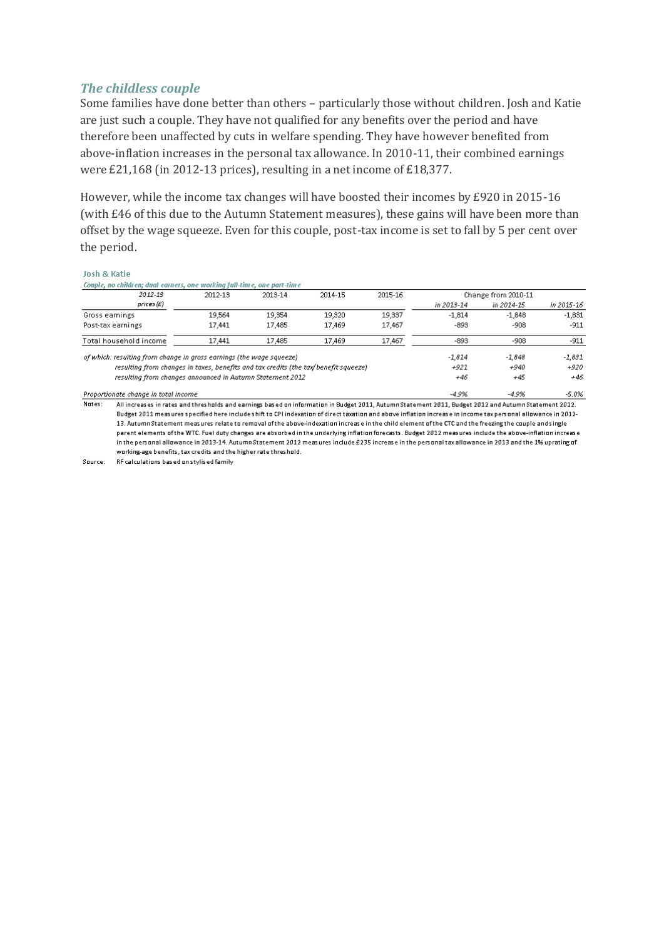#### *The childless couple*

Some families have done better than others – particularly those without children. Josh and Katie are just such a couple. They have not qualified for any benefits over the period and have therefore been unaffected by cuts in welfare spending. They have however benefited from above-inflation increases in the personal tax allowance. In 2010-11, their combined earnings were £21,168 (in 2012-13 prices), resulting in a net income of £18,377.

However, while the income tax changes will have boosted their incomes by £920 in 2015-16 (with £46 of this due to the Autumn Statement measures), these gains will have been more than offset by the wage squeeze. Even for this couple, post-tax income is set to fall by 5 per cent over the period.

#### **Josh & Katie**

#### Couple, no children; dual earners, one working full-time, one part-time

|                                                                                     | --      |         |         |         |                     |            |            |
|-------------------------------------------------------------------------------------|---------|---------|---------|---------|---------------------|------------|------------|
| 2012-13                                                                             | 2012-13 | 2013-14 | 2014-15 | 2015-16 | Change from 2010-11 |            |            |
| prices (£)                                                                          |         |         |         |         | in 2013-14          | in 2014-15 | in 2015-16 |
| Gross earnings                                                                      | 19.564  | 19,354  | 19,320  | 19,337  | $-1.814$            | $-1.848$   | $-1.831$   |
| Post-tax earnings                                                                   | 17.441  | 17,485  | 17,469  | 17,467  | $-893$              | $-908$     | $-911$     |
| Total household income                                                              | 17.441  | 17,485  | 17,469  | 17,467  | $-893$              | $-908$     | $-911$     |
| of which: resulting from change in gross earnings (the wage squeeze)                |         |         |         |         | $-1.814$            | $-1.848$   | $-1,831$   |
| resulting from changes in taxes, benefits and tax credits (the tax/benefit squeeze) |         |         |         |         | $+921$              | $+940$     | $+920$     |
| resulting from changes announced in Autumn Statement 2012                           |         |         |         |         | +46                 | +45        | $+46$      |
| Proportionate change in total income                                                |         |         |         |         | $-4.9%$             | $-4.9%$    | $-5.0%$    |

 $Nates:$ All increases in rates and thresholds and earnings based on information in Budget 2011. Autumn Statement 2011, Budget 2012 and Autumn Statement 2012. Budget 2011 measures specified here include shift to CPI indexation of direct taxation and above inflation increase in income taxpersonal allowance in 2012-13. Autumn Statement measures relate to removal of the above-indexation increase in the child element of the CTC and the freezing the couple and single parent elements of the WTC. Fuel duty changes are absorbed in the underlying inflation forecasts. Budget 2012 measures include the above-inflation increase in the personal allowance in 2013-14. Autumn Statement 2012 measures include £235 increase in the personal tax allowance in 2013 and the 1% uprating of working-age benefits, tax credits and the higher rate threshold.

Source: RF calculations based on stylised family